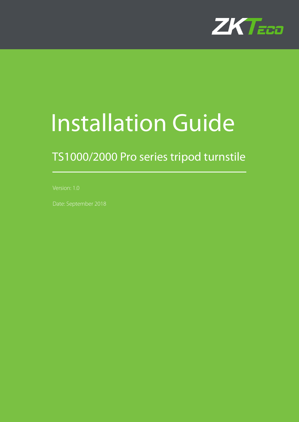

# Installation Guide

# TS1000/2000 Pro series tripod turnstile

Date: September 2018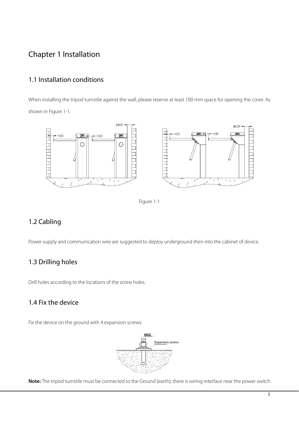## Chapter 1 Installation

#### 1.1 Installation conditions

When installing the tripod turnstile against the wall, please reserve at least 100 mm space for opening the cover. As shown in Figure 1-1.



Figure 1-1

#### 1.2 Cabling

Power supply and communication wire are suggested to deploy underground then into the cabinet of device.

#### 1.3 Drilling holes

Drill holes according to the locations of the screw holes.

#### 1.4 Fix the device

Fix the device on the ground with 4 expansion screws.



**Note:** The tripod turnstile must be connected to the Ground (earth); there is wiring interface near the power switch.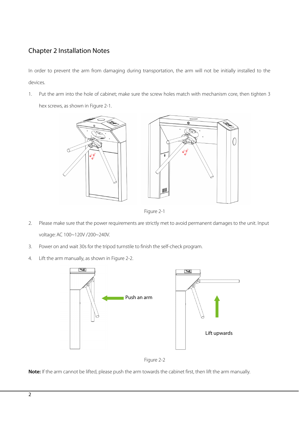## Chapter 2 Installation Notes

In order to prevent the arm from damaging during transportation, the arm will not be initially installed to the devices.

1. Put the arm into the hole of cabinet; make sure the screw holes match with mechanism core, then tighten 3

hex screws, as shown in Figure 2-1.



Figure 2-1

- 2. Please make sure that the power requirements are strictly met to avoid permanent damages to the unit. Input voltage: AC 100~120V /200~240V.
- 3. Power on and wait 30s for the tripod turnstile to finish the self-check program.
- 4. Lift the arm manually, as shown in Figure 2-2.





**Note:** If the arm cannot be lifted, please push the arm towards the cabinet first, then lift the arm manually.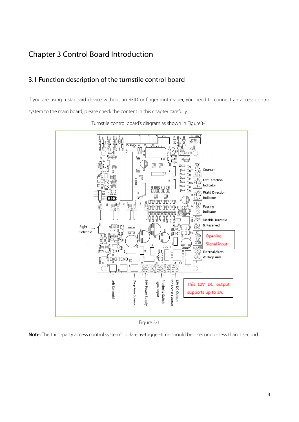## Chapter 3 Control Board Introduction

### 3.1 Function description of the turnstile control board

If you are using a standard device without an RFID or fingerprint reader, you need to connect an access control system to the main board; please check the content in this chapter carefully.



Turnstile control board's diagram as shown in Figure3-1

Figure 3-1

**Note:** The third-party access control system's lock-relay-trigger-time should be 1 second or less than 1 second.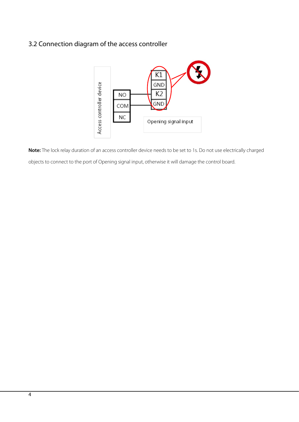## 3.2 Connection diagram of the access controller



**Note:** The lock relay duration of an access controller device needs to be set to 1s. Do not use electrically charged objects to connect to the port of Opening signal input, otherwise it will damage the control board.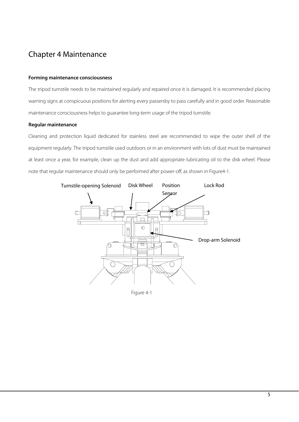## Chapter 4 Maintenance

#### **Forming maintenance consciousness**

The tripod turnstile needs to be maintained regularly and repaired once it is damaged. It is recommended placing warning signs at conspicuous positions for alerting every passersby to pass carefully and in good order. Reasonable maintenance consciousness helps to guarantee long-term usage of the tripod turnstile.

#### **Regular maintenance**

Cleaning and protection liquid dedicated for stainless steel are recommended to wipe the outer shell of the equipment regularly. The tripod turnstile used outdoors or in an environment with lots of dust must be maintained at least once a year, for example, clean up the dust and add appropriate lubricating oil to the disk wheel. Please note that regular maintenance should only be performed after power-off, as shown in Figure4-1.



Figure 4-1